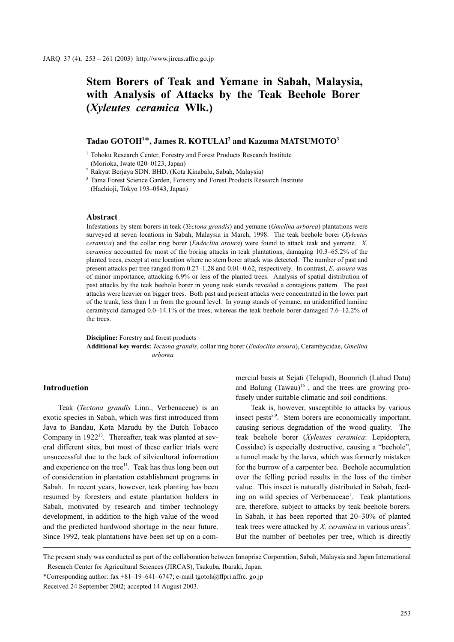# Stem Borers of Teak and Yemane in Sabah, Malaysia, with Analysis of Attacks by the Teak Beehole Borer (Xyleutes ceramica Wlk.)

## Tadao GOTOH $^{1\textstyle *}.$  James R. KOTULAI $^2$  and Kazuma MATSUMOTO $^3$

<sup>1</sup> Tohoku Research Center, Forestry and Forest Products Research Institute (Morioka, Iwate 020–0123, Japan)

<sup>2</sup> Rakyat Berjaya SDN. BHD. (Kota Kinabalu, Sabah, Malaysia)

<sup>3</sup> Tama Forest Science Garden, Forestry and Forest Products Research Institute (Hachioji, Tokyo 193–0843, Japan)

#### Abstract

Infestations by stem borers in teak (Tectona grandis) and yemane (Gmelina arborea) plantations were surveyed at seven locations in Sabah, Malaysia in March, 1998. The teak beehole borer (Xyleutes ceramica) and the collar ring borer (Endoclita aroura) were found to attack teak and yemane. X. ceramica accounted for most of the boring attacks in teak plantations, damaging 10.3–65.2% of the planted trees, except at one location where no stem borer attack was detected. The number of past and present attacks per tree ranged from 0.27–1.28 and 0.01–0.62, respectively. In contrast, E. aroura was of minor importance, attacking 6.9% or less of the planted trees. Analysis of spatial distribution of past attacks by the teak beehole borer in young teak stands revealed a contagious pattern. The past attacks were heavier on bigger trees. Both past and present attacks were concentrated in the lower part of the trunk, less than 1 m from the ground level. In young stands of yemane, an unidentified lamiine cerambycid damaged 0.0–14.1% of the trees, whereas the teak beehole borer damaged 7.6–12.2% of the trees.

Discipline: Forestry and forest products

Additional key words: Tectona grandis, collar ring borer (Endoclita aroura), Cerambycidae, Gmelina arborea

## Introduction

Teak (Tectona grandis Linn., Verbenaceae) is an exotic species in Sabah, which was first introduced from Java to Bandau, Kota Marudu by the Dutch Tobacco Company in 1922<sup>13</sup>. Thereafter, teak was planted at several different sites, but most of these earlier trials were unsuccessful due to the lack of silvicultural information and experience on the tree<sup>11</sup>. Teak has thus long been out of consideration in plantation establishment programs in Sabah. In recent years, however, teak planting has been resumed by foresters and estate plantation holders in Sabah, motivated by research and timber technology development, in addition to the high value of the wood and the predicted hardwood shortage in the near future. Since 1992, teak plantations have been set up on a commercial basis at Sejati (Telupid), Boonrich (Lahad Datu) and Balung  $(Tawau)^{16}$ , and the trees are growing profusely under suitable climatic and soil conditions.

Teak is, however, susceptible to attacks by various insect pests<sup>5,9</sup>. Stem borers are economically important, causing serious degradation of the wood quality. The teak beehole borer (Xyleutes ceramica: Lepidoptera, Cossidae) is especially destructive, causing a "beehole", a tunnel made by the larva, which was formerly mistaken for the burrow of a carpenter bee. Beehole accumulation over the felling period results in the loss of the timber value. This insect is naturally distributed in Sabah, feeding on wild species of Verbenaceae<sup>1</sup>. Teak plantations are, therefore, subject to attacks by teak beehole borers. In Sabah, it has been reported that 20–30% of planted teak trees were attacked by *X. ceramica* in various areas<sup>5</sup>. But the number of beeholes per tree, which is directly

The present study was conducted as part of the collaboration between Innoprise Corporation, Sabah, Malaysia and Japan International Research Center for Agricultural Sciences (JIRCAS), Tsukuba, Ibaraki, Japan.

<sup>\*</sup>Corresponding author: fax +81-19-641-6747; e-mail tgotoh@ffpri.affrc. go.jp

Received 24 September 2002; accepted 14 August 2003.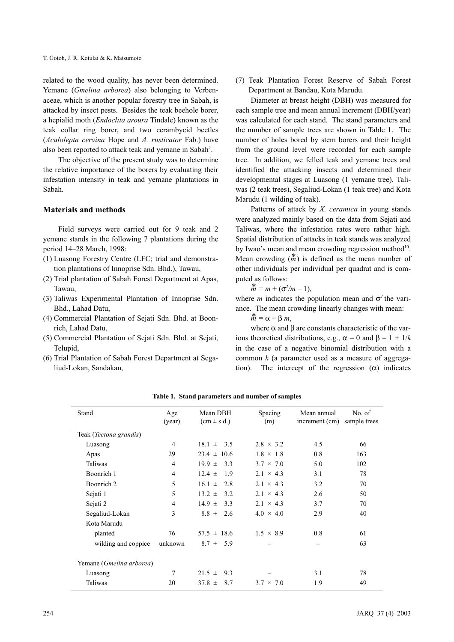related to the wood quality, has never been determined. Yemane (Gmelina arborea) also belonging to Verbenaceae, which is another popular forestry tree in Sabah, is attacked by insect pests. Besides the teak beehole borer, a hepialid moth (Endoclita aroura Tindale) known as the teak collar ring borer, and two cerambycid beetles (Acalolepta cervina Hope and A. rusticator Fab.) have also been reported to attack teak and yemane in Sabah<sup>5</sup>.

The objective of the present study was to determine the relative importance of the borers by evaluating their infestation intensity in teak and yemane plantations in Sabah.

#### Materials and methods

Field surveys were carried out for 9 teak and 2 yemane stands in the following 7 plantations during the period 14–28 March, 1998:

- (1) Luasong Forestry Centre (LFC; trial and demonstration plantations of Innoprise Sdn. Bhd.), Tawau,
- (2) Trial plantation of Sabah Forest Department at Apas, Tawau,
- (3) Taliwas Experimental Plantation of Innoprise Sdn. Bhd., Lahad Datu,
- (4) Commercial Plantation of Sejati Sdn. Bhd. at Boonrich, Lahad Datu,
- (5) Commercial Plantation of Sejati Sdn. Bhd. at Sejati, Telupid,
- (6) Trial Plantation of Sabah Forest Department at Segaliud-Lokan, Sandakan,

(7) Teak Plantation Forest Reserve of Sabah Forest Department at Bandau, Kota Marudu.

Diameter at breast height (DBH) was measured for each sample tree and mean annual increment (DBH/year) was calculated for each stand. The stand parameters and the number of sample trees are shown in Table 1. The number of holes bored by stem borers and their height from the ground level were recorded for each sample tree. In addition, we felled teak and yemane trees and identified the attacking insects and determined their developmental stages at Luasong (1 yemane tree), Taliwas (2 teak trees), Segaliud-Lokan (1 teak tree) and Kota Marudu (1 wilding of teak).

Patterns of attack by  $X$ . *ceramica* in young stands were analyzed mainly based on the data from Sejati and Taliwas, where the infestation rates were rather high. Spatial distribution of attacks in teak stands was analyzed by Iwao's mean and mean crowding regression method $10<sup>10</sup>$ . Mean crowding  $\left(\vec{m}\right)$  is defined as the mean number of other individuals per individual per quadrat and is computed as follows:

$$
\stackrel{*}{m} = m + (\sigma^2/m - 1),
$$

where *m* indicates the population mean and  $\sigma^2$  the variance. The mean crowding linearly changes with mean:

 $\stackrel{*}{m} = \alpha + \beta m,$ 

where  $\alpha$  and  $\beta$  are constants characteristic of the various theoretical distributions, e.g.,  $\alpha = 0$  and  $\beta = 1 + 1/k$ in the case of a negative binomial distribution with a common  $k$  (a parameter used as a measure of aggregation). The intercept of the regression  $(\alpha)$  indicates

| Stand                           | Age<br>(year) | Mean DBH<br>$(cm \pm s.d.)$ | Spacing<br>(m)   | Mean annual<br>increment $(cm)$ | No. of<br>sample trees |
|---------------------------------|---------------|-----------------------------|------------------|---------------------------------|------------------------|
| Teak ( <i>Tectona grandis</i> ) |               |                             |                  |                                 |                        |
| Luasong                         | 4             | $18.1 \pm 3.5$              | $2.8 \times 3.2$ | 4.5                             | 66                     |
| Apas                            | 29            | $23.4 \pm 10.6$             | $1.8 \times 1.8$ | 0.8                             | 163                    |
| Taliwas                         | 4             | $19.9 \pm$<br>3.3           | $3.7 \times 7.0$ | 5.0                             | 102                    |
| Boonrich 1                      | 4             | $12.4 \pm$<br>1.9           | $2.1 \times 4.3$ | 3.1                             | 78                     |
| Boonrich 2                      | 5             | $16.1 \pm$<br>2.8           | $2.1 \times 4.3$ | 3.2                             | 70                     |
| Sejati 1                        | 5             | $13.2 \pm$<br>3.2           | $2.1 \times 4.3$ | 2.6                             | 50                     |
| Sejati 2                        | 4             | $14.9 \pm$<br>3.3           | $2.1 \times 4.3$ | 3.7                             | 70                     |
| Segaliud-Lokan                  | 3             | $8.8 \pm$<br>2.6            | $4.0 \times 4.0$ | 2.9                             | 40                     |
| Kota Marudu                     |               |                             |                  |                                 |                        |
| planted                         | 76            | $57.5 \pm 18.6$             | $1.5 \times 8.9$ | 0.8                             | 61                     |
| wilding and coppice.            | unknown       | $8.7 \pm$<br>5.9            |                  |                                 | 63                     |
| Yemane (Gmelina arborea)        |               |                             |                  |                                 |                        |
| Luasong                         | 7             | $21.5 \pm$<br>9.3           |                  | 3.1                             | 78                     |
| Taliwas                         | 20            | $37.8 \pm$<br>8.7           | $3.7 \times 7.0$ | 1.9                             | 49                     |

Table 1. Stand parameters and number of samples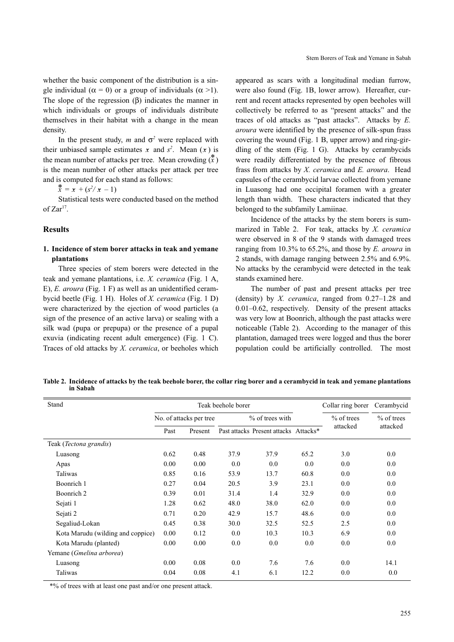whether the basic component of the distribution is a single individual ( $\alpha = 0$ ) or a group of individuals ( $\alpha > 1$ ). The slope of the regression  $(\beta)$  indicates the manner in which individuals or groups of individuals distribute themselves in their habitat with a change in the mean density.

In the present study, m and  $\sigma^2$  were replaced with their unbiased sample estimates x and  $s^2$ . Mean  $(x)$  is the mean number of attacks per tree. Mean crowding  $\hat{x}$ is the mean number of other attacks per attack per tree and is computed for each stand as follows:<br>  $\ddot{x} = x + (s^2/x - 1)$ 

$$
\stackrel{\ast}{x} = x + (s^2/x - 1)
$$

Statistical tests were conducted based on the method of  $Zar^{17}$ .

## Results

## 1. Incidence of stem borer attacks in teak and yemane plantations

Three species of stem borers were detected in the teak and yemane plantations, i.e. X. ceramica (Fig. 1 A, E), E. aroura (Fig. 1 F) as well as an unidentified cerambycid beetle (Fig. 1 H). Holes of X. ceramica (Fig. 1 D) were characterized by the ejection of wood particles (a sign of the presence of an active larva) or sealing with a silk wad (pupa or prepupa) or the presence of a pupal exuvia (indicating recent adult emergence) (Fig. 1 C). Traces of old attacks by X. ceramica, or beeholes which appeared as scars with a longitudinal median furrow, were also found (Fig. 1B, lower arrow). Hereafter, current and recent attacks represented by open beeholes will collectively be referred to as "present attacks" and the traces of old attacks as "past attacks". Attacks by E. aroura were identified by the presence of silk-spun frass covering the wound (Fig. 1 B, upper arrow) and ring-girdling of the stem (Fig. 1 G). Attacks by cerambycids were readily differentiated by the presence of fibrous frass from attacks by  $X$ . ceramica and  $E$ . aroura. Head capsules of the cerambycid larvae collected from yemane in Luasong had one occipital foramen with a greater length than width. These characters indicated that they belonged to the subfamily Lamiinae.

Incidence of the attacks by the stem borers is summarized in Table 2. For teak, attacks by X. ceramica were observed in 8 of the 9 stands with damaged trees ranging from 10.3% to 65.2%, and those by E. aroura in 2 stands, with damage ranging between 2.5% and 6.9%. No attacks by the cerambycid were detected in the teak stands examined here.

The number of past and present attacks per tree (density) by X. ceramica, ranged from 0.27–1.28 and 0.01–0.62, respectively. Density of the present attacks was very low at Boonrich, although the past attacks were noticeable (Table 2). According to the manager of this plantation, damaged trees were logged and thus the borer population could be artificially controlled. The most

Table 2. Incidence of attacks by the teak beehole borer, the collar ring borer and a cerambycid in teak and yemane plantations in Sabah

| Stand                             | Teak beehole borer      |         |                   |                                       |              | Collar ring borer | Cerambycid |
|-----------------------------------|-------------------------|---------|-------------------|---------------------------------------|--------------|-------------------|------------|
|                                   | No. of attacks per tree |         | $%$ of trees with |                                       | $%$ of trees | $%$ of trees      |            |
|                                   | Past                    | Present |                   | Past attacks Present attacks Attacks* |              | attacked          | attacked   |
| Teak (Tectona grandis)            |                         |         |                   |                                       |              |                   |            |
| Luasong                           | 0.62                    | 0.48    | 37.9              | 37.9                                  | 65.2         | 3.0               | 0.0        |
| Apas                              | 0.00                    | 0.00    | 0.0               | 0.0                                   | 0.0          | 0.0               | 0.0        |
| Taliwas                           | 0.85                    | 0.16    | 53.9              | 13.7                                  | 60.8         | 0.0               | 0.0        |
| Boonrich 1                        | 0.27                    | 0.04    | 20.5              | 3.9                                   | 23.1         | 0.0               | 0.0        |
| Boonrich 2                        | 0.39                    | 0.01    | 31.4              | 1.4                                   | 32.9         | 0.0               | 0.0        |
| Sejati 1                          | 1.28                    | 0.62    | 48.0              | 38.0                                  | 62.0         | 0.0               | 0.0        |
| Sejati 2                          | 0.71                    | 0.20    | 42.9              | 15.7                                  | 48.6         | 0.0               | 0.0        |
| Segaliud-Lokan                    | 0.45                    | 0.38    | 30.0              | 32.5                                  | 52.5         | 2.5               | 0.0        |
| Kota Marudu (wilding and coppice) | 0.00                    | 0.12    | 0.0               | 10.3                                  | 10.3         | 6.9               | 0.0        |
| Kota Marudu (planted)             | 0.00                    | 0.00    | 0.0               | 0.0                                   | 0.0          | 0.0               | 0.0        |
| Yemane (Gmelina arborea)          |                         |         |                   |                                       |              |                   |            |
| Luasong                           | 0.00                    | 0.08    | 0.0               | 7.6                                   | 7.6          | 0.0               | 14.1       |
| Taliwas                           | 0.04                    | 0.08    | 4.1               | 6.1                                   | 12.2         | 0.0               | 0.0        |

\*% of trees with at least one past and/or one present attack.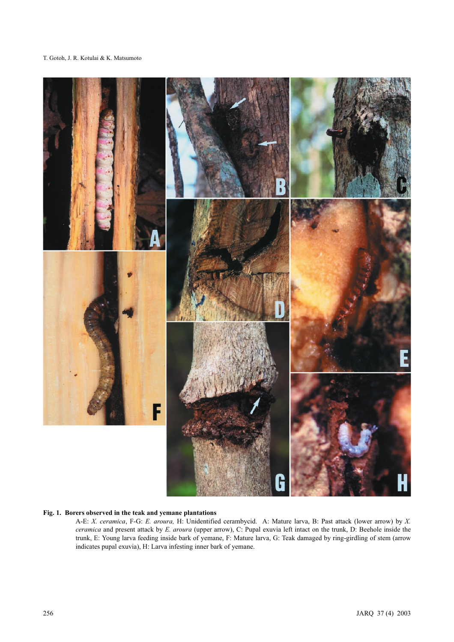

#### Fig. 1. Borers observed in the teak and yemane plantations

A-E: X. ceramica, F-G: E. aroura, H: Unidentified cerambycid. A: Mature larva, B: Past attack (lower arrow) by X. ceramica and present attack by E. aroura (upper arrow), C: Pupal exuvia left intact on the trunk, D: Beehole inside the trunk, E: Young larva feeding inside bark of yemane, F: Mature larva, G: Teak damaged by ring-girdling of stem (arrow indicates pupal exuvia), H: Larva infesting inner bark of yemane.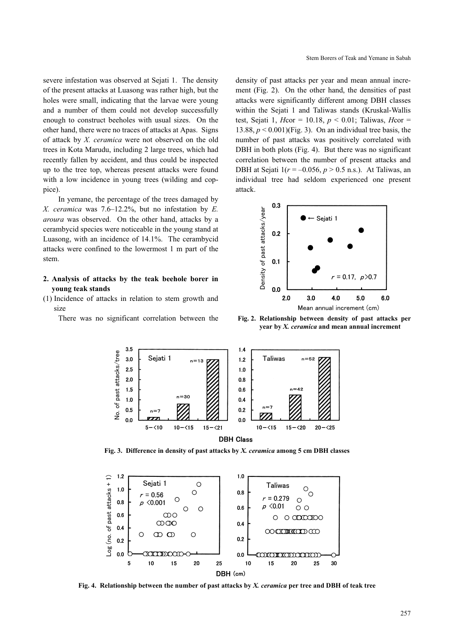severe infestation was observed at Sejati 1. The density of the present attacks at Luasong was rather high, but the holes were small, indicating that the larvae were young and a number of them could not develop successfully enough to construct beeholes with usual sizes. On the other hand, there were no traces of attacks at Apas. Signs of attack by X. ceramica were not observed on the old trees in Kota Marudu, including 2 large trees, which had recently fallen by accident, and thus could be inspected up to the tree top, whereas present attacks were found with a low incidence in young trees (wilding and coppice).

In yemane, the percentage of the trees damaged by X. ceramica was  $7.6-12.2\%$ , but no infestation by E. aroura was observed. On the other hand, attacks by a cerambycid species were noticeable in the young stand at Luasong, with an incidence of 14.1%. The cerambycid attacks were confined to the lowermost 1 m part of the stem.

## 2. Analysis of attacks by the teak beehole borer in young teak stands

(1) Incidence of attacks in relation to stem growth and size

There was no significant correlation between the

density of past attacks per year and mean annual increment (Fig. 2). On the other hand, the densities of past attacks were significantly different among DBH classes within the Sejati 1 and Taliwas stands (Kruskal-Wallis test, Sejati 1, Hcor = 10.18,  $p < 0.01$ ; Taliwas, Hcor = 13.88,  $p < 0.001$ )(Fig. 3). On an individual tree basis, the number of past attacks was positively correlated with DBH in both plots (Fig. 4). But there was no significant correlation between the number of present attacks and DBH at Sejati  $1(r = -0.056, p > 0.5$  n.s.). At Taliwas, an individual tree had seldom experienced one present attack.



Fig. 2. Relationship between density of past attacks per year by X. ceramica and mean annual increment



Fig. 3. Difference in density of past attacks by  $X$ . *ceramica* among 5 cm DBH classes



Fig. 4. Relationship between the number of past attacks by X. *ceramica* per tree and DBH of teak tree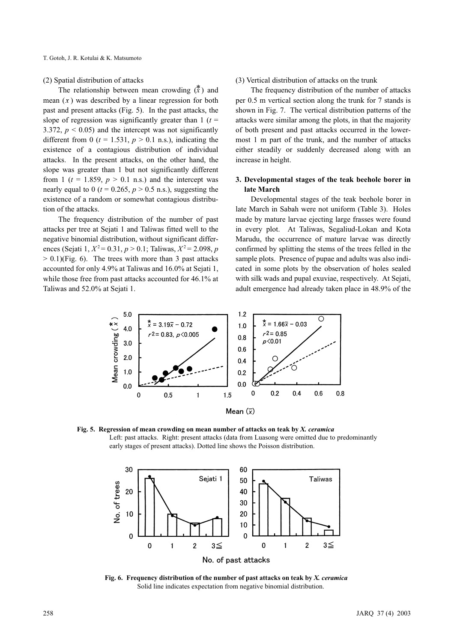(2) Spatial distribution of attacks

The relationship between mean crowding  $\left(\stackrel{*}{x}\right)$  and mean  $(x)$  was described by a linear regression for both past and present attacks (Fig. 5). In the past attacks, the slope of regression was significantly greater than  $1(t =$ 3.372,  $p < 0.05$ ) and the intercept was not significantly different from 0 ( $t = 1.531$ ,  $p > 0.1$  n.s.), indicating the existence of a contagious distribution of individual attacks. In the present attacks, on the other hand, the slope was greater than 1 but not significantly different from 1 ( $t = 1.859$ ,  $p > 0.1$  n.s.) and the intercept was nearly equal to 0 ( $t = 0.265$ ,  $p > 0.5$  n.s.), suggesting the existence of a random or somewhat contagious distribution of the attacks.

The frequency distribution of the number of past attacks per tree at Sejati 1 and Taliwas fitted well to the negative binomial distribution, without significant differences (Sejati 1,  $X^2 = 0.31$ ,  $p > 0.1$ ; Taliwas,  $X^2 = 2.098$ , p  $> 0.1$ )(Fig. 6). The trees with more than 3 past attacks accounted for only 4.9% at Taliwas and 16.0% at Sejati 1, while those free from past attacks accounted for 46.1% at Taliwas and 52.0% at Sejati 1.

#### (3) Vertical distribution of attacks on the trunk

The frequency distribution of the number of attacks per 0.5 m vertical section along the trunk for 7 stands is shown in Fig. 7. The vertical distribution patterns of the attacks were similar among the plots, in that the majority of both present and past attacks occurred in the lowermost 1 m part of the trunk, and the number of attacks either steadily or suddenly decreased along with an increase in height.

## 3. Developmental stages of the teak beehole borer in late March

Developmental stages of the teak beehole borer in late March in Sabah were not uniform (Table 3). Holes made by mature larvae ejecting large frasses were found in every plot. At Taliwas, Segaliud-Lokan and Kota Marudu, the occurrence of mature larvae was directly confirmed by splitting the stems of the trees felled in the sample plots. Presence of pupae and adults was also indicated in some plots by the observation of holes sealed with silk wads and pupal exuviae, respectively. At Sejati, adult emergence had already taken place in 48.9% of the



Fig. 5. Regression of mean crowding on mean number of attacks on teak by X. ceramica Left: past attacks. Right: present attacks (data from Luasong were omitted due to predominantly early stages of present attacks). Dotted line shows the Poisson distribution.



Fig. 6. Frequency distribution of the number of past attacks on teak by  $X$ , ceramica Solid line indicates expectation from negative binomial distribution.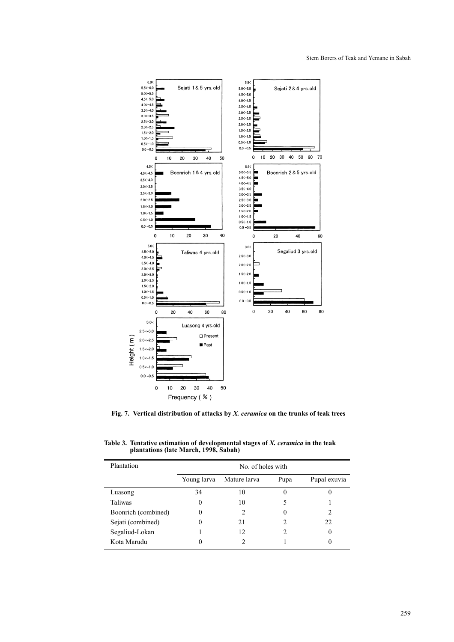

Fig. 7. Vertical distribution of attacks by  $X$ . *ceramica* on the trunks of teak trees

Table 3. Tentative estimation of developmental stages of  $X$ . *ceramica* in the teak plantations (late March, 1998, Sabah)

 $\equiv$ 

| Plantation          | No. of holes with |              |          |              |  |  |  |
|---------------------|-------------------|--------------|----------|--------------|--|--|--|
|                     | Young larva       | Mature larva | Pupa     | Pupal exuvia |  |  |  |
| Luasong             | 34                | 10           | 0        | U            |  |  |  |
| Taliwas             | 0                 | 10           |          |              |  |  |  |
| Boonrich (combined) | 0                 | 2            | $\Omega$ | 2            |  |  |  |
| Sejati (combined)   | 0                 | 21           |          | 22           |  |  |  |
| Segaliud-Lokan      |                   | 12           |          | $\theta$     |  |  |  |
| Kota Marudu         | 0                 |              |          | $\mathbf{0}$ |  |  |  |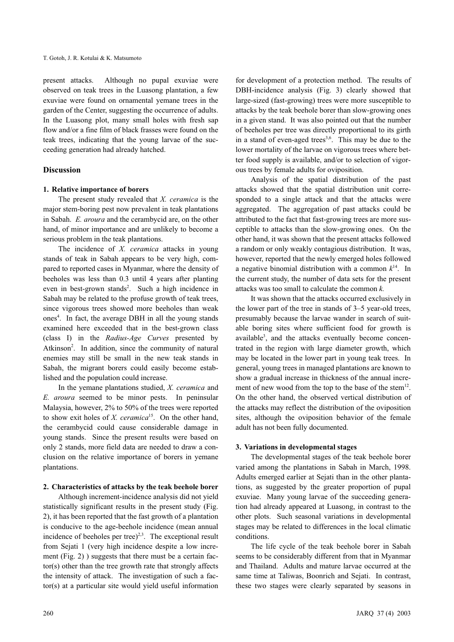present attacks. Although no pupal exuviae were observed on teak trees in the Luasong plantation, a few exuviae were found on ornamental yemane trees in the garden of the Center, suggesting the occurrence of adults. In the Luasong plot, many small holes with fresh sap flow and/or a fine film of black frasses were found on the teak trees, indicating that the young larvae of the succeeding generation had already hatched.

## Discussion

## 1. Relative importance of borers

The present study revealed that  $X$ . *ceramica* is the major stem-boring pest now prevalent in teak plantations in Sabah. E. aroura and the cerambycid are, on the other hand, of minor importance and are unlikely to become a serious problem in the teak plantations.

The incidence of  $X$ . *ceramica* attacks in young stands of teak in Sabah appears to be very high, compared to reported cases in Myanmar, where the density of beeholes was less than 0.3 until 4 years after planting even in best-grown stands<sup>2</sup>. Such a high incidence in Sabah may be related to the profuse growth of teak trees, since vigorous trees showed more beeholes than weak ones<sup>4</sup>. In fact, the average DBH in all the young stands examined here exceeded that in the best-grown class (class I) in the Radius-Age Curves presented by Atkinson<sup>2</sup>. In addition, since the community of natural enemies may still be small in the new teak stands in Sabah, the migrant borers could easily become established and the population could increase.

In the yemane plantations studied, X. ceramica and E. aroura seemed to be minor pests. In peninsular Malaysia, however, 2% to 50% of the trees were reported to show exit holes of X. ceramica<sup>15</sup>. On the other hand, the cerambycid could cause considerable damage in young stands. Since the present results were based on only 2 stands, more field data are needed to draw a conclusion on the relative importance of borers in yemane plantations.

## 2. Characteristics of attacks by the teak beehole borer

Although increment-incidence analysis did not yield statistically significant results in the present study (Fig. 2), it has been reported that the fast growth of a plantation is conducive to the age-beehole incidence (mean annual incidence of beeholes per tree)<sup> $2,3$ </sup>. The exceptional result from Sejati 1 (very high incidence despite a low increment (Fig. 2) ) suggests that there must be a certain factor(s) other than the tree growth rate that strongly affects the intensity of attack. The investigation of such a factor(s) at a particular site would yield useful information for development of a protection method. The results of DBH-incidence analysis (Fig. 3) clearly showed that large-sized (fast-growing) trees were more susceptible to attacks by the teak beehole borer than slow-growing ones in a given stand. It was also pointed out that the number of beeholes per tree was directly proportional to its girth in a stand of even-aged trees<sup>3,6</sup>. This may be due to the lower mortality of the larvae on vigorous trees where better food supply is available, and/or to selection of vigorous trees by female adults for oviposition.

Analysis of the spatial distribution of the past attacks showed that the spatial distribution unit corresponded to a single attack and that the attacks were aggregated. The aggregation of past attacks could be attributed to the fact that fast-growing trees are more susceptible to attacks than the slow-growing ones. On the other hand, it was shown that the present attacks followed a random or only weakly contagious distribution. It was, however, reported that the newly emerged holes followed a negative binomial distribution with a common  $k^{14}$ . In the current study, the number of data sets for the present attacks was too small to calculate the common k.

It was shown that the attacks occurred exclusively in the lower part of the tree in stands of 3–5 year-old trees, presumably because the larvae wander in search of suitable boring sites where sufficient food for growth is available<sup>3</sup>, and the attacks eventually become concentrated in the region with large diameter growth, which may be located in the lower part in young teak trees. In general, young trees in managed plantations are known to show a gradual increase in thickness of the annual increment of new wood from the top to the base of the stem<sup>12</sup>. On the other hand, the observed vertical distribution of the attacks may reflect the distribution of the oviposition sites, although the oviposition behavior of the female adult has not been fully documented.

#### 3. Variations in developmental stages

The developmental stages of the teak beehole borer varied among the plantations in Sabah in March, 1998. Adults emerged earlier at Sejati than in the other plantations, as suggested by the greater proportion of pupal exuviae. Many young larvae of the succeeding generation had already appeared at Luasong, in contrast to the other plots. Such seasonal variations in developmental stages may be related to differences in the local climatic conditions.

The life cycle of the teak beehole borer in Sabah seems to be considerably different from that in Myanmar and Thailand. Adults and mature larvae occurred at the same time at Taliwas, Boonrich and Sejati. In contrast, these two stages were clearly separated by seasons in